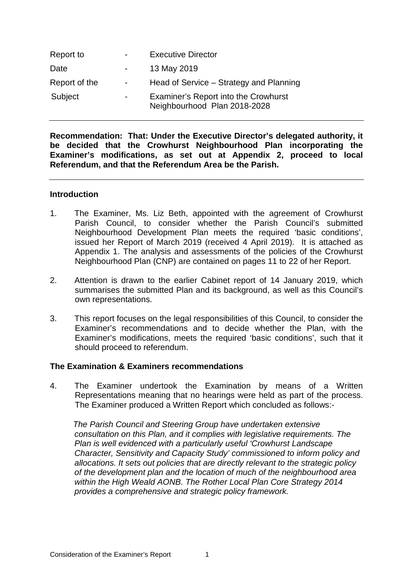| Report to     | $\overline{\phantom{0}}$ | <b>Executive Director</b>                                            |
|---------------|--------------------------|----------------------------------------------------------------------|
| Date          | $\blacksquare$           | 13 May 2019                                                          |
| Report of the | $\overline{\phantom{a}}$ | Head of Service – Strategy and Planning                              |
| Subject       | $\blacksquare$           | Examiner's Report into the Crowhurst<br>Neighbourhood Plan 2018-2028 |

**Recommendation: That: Under the Executive Director's delegated authority, it be decided that the Crowhurst Neighbourhood Plan incorporating the Examiner's modifications, as set out at Appendix 2, proceed to local Referendum, and that the Referendum Area be the Parish.**

#### **Introduction**

- 1. The Examiner, Ms. Liz Beth, appointed with the agreement of Crowhurst Parish Council, to consider whether the Parish Council's submitted Neighbourhood Development Plan meets the required 'basic conditions', issued her Report of March 2019 (received 4 April 2019). It is attached as Appendix 1. The analysis and assessments of the policies of the Crowhurst Neighbourhood Plan (CNP) are contained on pages 11 to 22 of her Report.
- 2. Attention is drawn to the earlier Cabinet report of 14 January 2019, which summarises the submitted Plan and its background, as well as this Council's own representations.
- 3. This report focuses on the legal responsibilities of this Council, to consider the Examiner's recommendations and to decide whether the Plan, with the Examiner's modifications, meets the required 'basic conditions', such that it should proceed to referendum.

### **The Examination & Examiners recommendations**

4. The Examiner undertook the Examination by means of a Written Representations meaning that no hearings were held as part of the process. The Examiner produced a Written Report which concluded as follows:-

 *The Parish Council and Steering Group have undertaken extensive consultation on this Plan, and it complies with legislative requirements. The Plan is well evidenced with a particularly useful 'Crowhurst Landscape Character, Sensitivity and Capacity Study' commissioned to inform policy and allocations. It sets out policies that are directly relevant to the strategic policy of the development plan and the location of much of the neighbourhood area within the High Weald AONB. The Rother Local Plan Core Strategy 2014 provides a comprehensive and strategic policy framework.*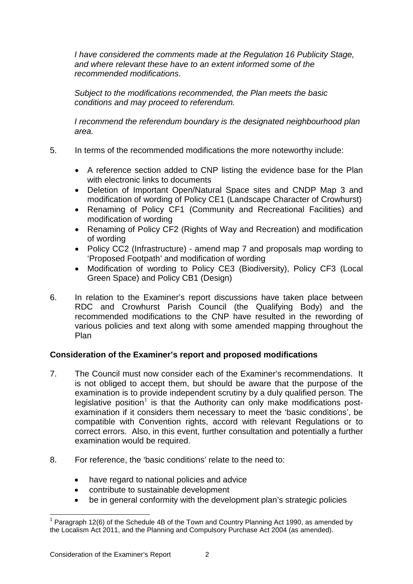*I have considered the comments made at the Regulation 16 Publicity Stage, and where relevant these have to an extent informed some of the recommended modifications*.

*Subject to the modifications recommended, the Plan meets the basic conditions and may proceed to referendum.* 

*I recommend the referendum boundary is the designated neighbourhood plan area.*

- 5. In terms of the recommended modifications the more noteworthy include:
	- A reference section added to CNP listing the evidence base for the Plan with electronic links to documents
	- Deletion of Important Open/Natural Space sites and CNDP Map 3 and modification of wording of Policy CE1 (Landscape Character of Crowhurst)
	- Renaming of Policy CF1 (Community and Recreational Facilities) and modification of wording
	- Renaming of Policy CF2 (Rights of Way and Recreation) and modification of wording
	- Policy CC2 (Infrastructure) amend map 7 and proposals map wording to 'Proposed Footpath' and modification of wording
	- Modification of wording to Policy CE3 (Biodiversity), Policy CF3 (Local Green Space) and Policy CB1 (Design)
- 6. In relation to the Examiner's report discussions have taken place between RDC and Crowhurst Parish Council (the Qualifying Body) and the recommended modifications to the CNP have resulted in the rewording of various policies and text along with some amended mapping throughout the Plan

# **Consideration of the Examiner's report and proposed modifications**

- 7. The Council must now consider each of the Examiner's recommendations. It is not obliged to accept them, but should be aware that the purpose of the examination is to provide independent scrutiny by a duly qualified person. The legislative position<sup>[1](#page-1-0)</sup> is that the Authority can only make modifications postexamination if it considers them necessary to meet the 'basic conditions', be compatible with Convention rights, accord with relevant Regulations or to correct errors. Also, in this event, further consultation and potentially a further examination would be required.
- 8. For reference, the 'basic conditions' relate to the need to:
	- have regard to national policies and advice
	- contribute to sustainable development
	- be in general conformity with the development plan's strategic policies

<span id="page-1-0"></span><sup>&</sup>lt;sup>1</sup> Paragraph 12(6) of the Schedule 4B of the Town and Country Planning Act 1990, as amended by the Localism Act 2011, and the Planning and Compulsory Purchase Act 2004 (as amended).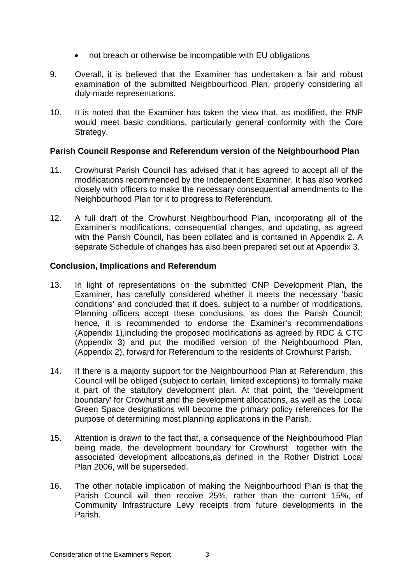- not breach or otherwise be incompatible with EU obligations
- 9. Overall, it is believed that the Examiner has undertaken a fair and robust examination of the submitted Neighbourhood Plan, properly considering all duly-made representations.
- 10. It is noted that the Examiner has taken the view that, as modified, the RNP would meet basic conditions, particularly general conformity with the Core Strategy.

## **Parish Council Response and Referendum version of the Neighbourhood Plan**

- 11. Crowhurst Parish Council has advised that it has agreed to accept all of the modifications recommended by the Independent Examiner. It has also worked closely with officers to make the necessary consequential amendments to the Neighbourhood Plan for it to progress to Referendum.
- 12. A full draft of the Crowhurst Neighbourhood Plan, incorporating all of the Examiner's modifications, consequential changes, and updating, as agreed with the Parish Council, has been collated and is contained in Appendix 2. A separate Schedule of changes has also been prepared set out at Appendix 3.

## **Conclusion, Implications and Referendum**

- 13. In light of representations on the submitted CNP Development Plan, the Examiner, has carefully considered whether it meets the necessary 'basic conditions' and concluded that it does, subject to a number of modifications. Planning officers accept these conclusions, as does the Parish Council; hence, it is recommended to endorse the Examiner's recommendations (Appendix 1),including the proposed modifications as agreed by RDC & CTC (Appendix 3) and put the modified version of the Neighbourhood Plan, (Appendix 2), forward for Referendum to the residents of Crowhurst Parish.
- 14. If there is a majority support for the Neighbourhood Plan at Referendum, this Council will be obliged (subject to certain, limited exceptions) to formally make it part of the statutory development plan. At that point, the 'development boundary' for Crowhurst and the development allocations, as well as the Local Green Space designations will become the primary policy references for the purpose of determining most planning applications in the Parish.
- 15. Attention is drawn to the fact that, a consequence of the Neighbourhood Plan being made, the development boundary for Crowhurst together with the associated development allocations,as defined in the Rother District Local Plan 2006, will be superseded.
- 16. The other notable implication of making the Neighbourhood Plan is that the Parish Council will then receive 25%, rather than the current 15%, of Community Infrastructure Levy receipts from future developments in the Parish.